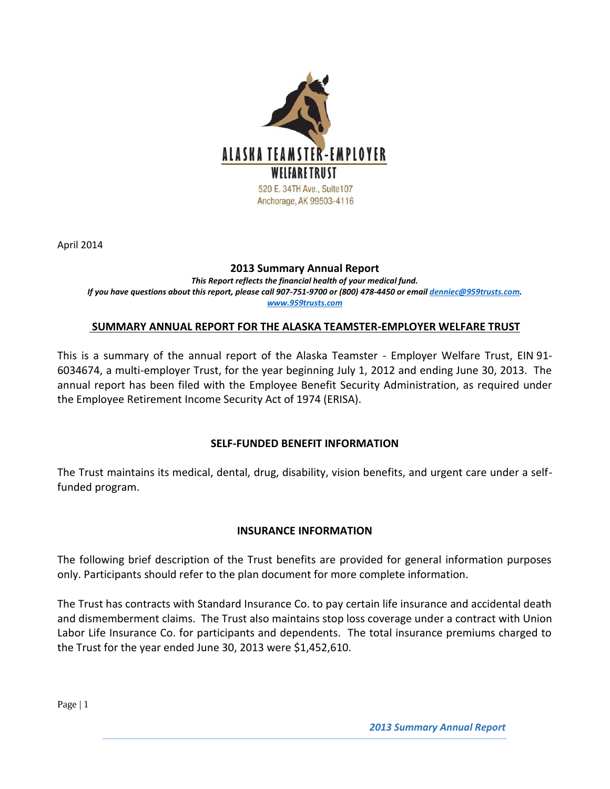

April 2014

#### **2013 Summary Annual Report**

*This Report reflects the financial health of your medical fund. If you have questions about this report, please call 907-751-9700 or (800) 478-4450 or emai[l denniec@959trusts.com.](mailto:denniec@959trusts.com) [www.959trusts.com](http://www.959trusts.com/)*

### **SUMMARY ANNUAL REPORT FOR THE ALASKA TEAMSTER-EMPLOYER WELFARE TRUST**

This is a summary of the annual report of the Alaska Teamster - Employer Welfare Trust, EIN 91- 6034674, a multi-employer Trust, for the year beginning July 1, 2012 and ending June 30, 2013. The annual report has been filed with the Employee Benefit Security Administration, as required under the Employee Retirement Income Security Act of 1974 (ERISA).

#### **SELF-FUNDED BENEFIT INFORMATION**

The Trust maintains its medical, dental, drug, disability, vision benefits, and urgent care under a selffunded program.

### **INSURANCE INFORMATION**

The following brief description of the Trust benefits are provided for general information purposes only. Participants should refer to the plan document for more complete information.

The Trust has contracts with Standard Insurance Co. to pay certain life insurance and accidental death and dismemberment claims. The Trust also maintains stop loss coverage under a contract with Union Labor Life Insurance Co. for participants and dependents. The total insurance premiums charged to the Trust for the year ended June 30, 2013 were \$1,452,610.

Page | 1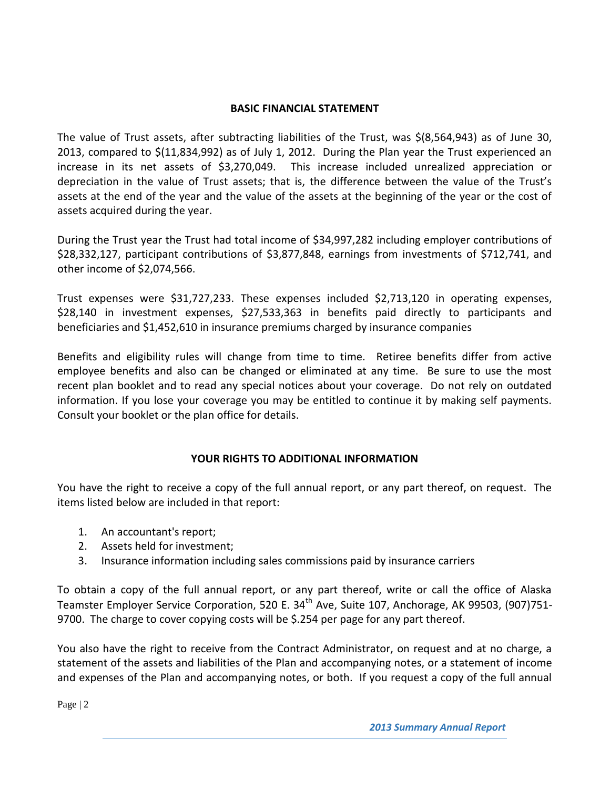### **BASIC FINANCIAL STATEMENT**

The value of Trust assets, after subtracting liabilities of the Trust, was \$(8,564,943) as of June 30, 2013, compared to \$(11,834,992) as of July 1, 2012. During the Plan year the Trust experienced an increase in its net assets of \$3,270,049. This increase included unrealized appreciation or depreciation in the value of Trust assets; that is, the difference between the value of the Trust's assets at the end of the year and the value of the assets at the beginning of the year or the cost of assets acquired during the year.

During the Trust year the Trust had total income of \$34,997,282 including employer contributions of \$28,332,127, participant contributions of \$3,877,848, earnings from investments of \$712,741, and other income of \$2,074,566.

Trust expenses were \$31,727,233. These expenses included \$2,713,120 in operating expenses, \$28,140 in investment expenses, \$27,533,363 in benefits paid directly to participants and beneficiaries and \$1,452,610 in insurance premiums charged by insurance companies

Benefits and eligibility rules will change from time to time. Retiree benefits differ from active employee benefits and also can be changed or eliminated at any time. Be sure to use the most recent plan booklet and to read any special notices about your coverage. Do not rely on outdated information. If you lose your coverage you may be entitled to continue it by making self payments. Consult your booklet or the plan office for details.

# **YOUR RIGHTS TO ADDITIONAL INFORMATION**

You have the right to receive a copy of the full annual report, or any part thereof, on request. The items listed below are included in that report:

- 1. An accountant's report;
- 2. Assets held for investment;
- 3. Insurance information including sales commissions paid by insurance carriers

To obtain a copy of the full annual report, or any part thereof, write or call the office of Alaska Teamster Employer Service Corporation, 520 E. 34<sup>th</sup> Ave, Suite 107, Anchorage, AK 99503, (907)751-9700. The charge to cover copying costs will be \$.254 per page for any part thereof.

You also have the right to receive from the Contract Administrator, on request and at no charge, a statement of the assets and liabilities of the Plan and accompanying notes, or a statement of income and expenses of the Plan and accompanying notes, or both. If you request a copy of the full annual

Page | 2